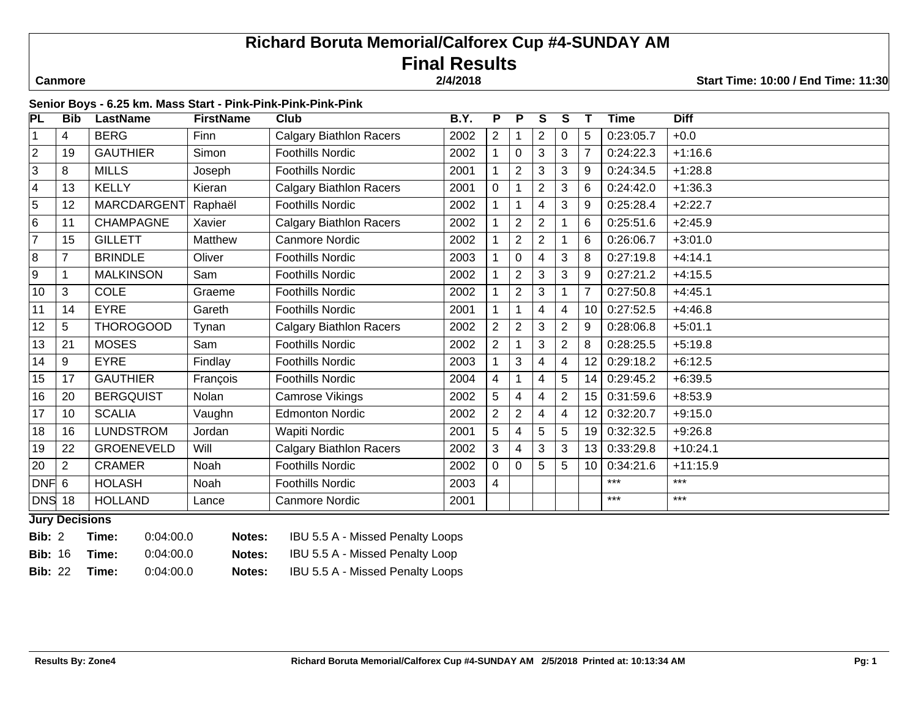# **Richard Boruta Memorial/Calforex Cup #4-SUNDAY AM Final Results**

 **Canmore 2/4/2018 Start Time: 10:00 / End Time: 11:30**

# **Senior Boys - 6.25 km. Mass Start - Pink-Pink-Pink-Pink-Pink**

| PL               | <b>Bib</b>     | <b>LastName</b>   | <b>FirstName</b> | <b>Club</b>                    | <b>B.Y.</b> | P              | P              | S              | S              |                 | <b>Time</b> | <b>Diff</b> |
|------------------|----------------|-------------------|------------------|--------------------------------|-------------|----------------|----------------|----------------|----------------|-----------------|-------------|-------------|
|                  | 4              | <b>BERG</b>       | Finn             | <b>Calgary Biathlon Racers</b> | 2002        | $\overline{2}$ |                | $\overline{2}$ | 0              | 5               | 0:23:05.7   | $+0.0$      |
| $\overline{2}$   | 19             | <b>GAUTHIER</b>   | Simon            | <b>Foothills Nordic</b>        | 2002        |                | $\overline{0}$ | 3              | 3              |                 | 0:24:22.3   | $+1:16.6$   |
| $\overline{3}$   | 8              | <b>MILLS</b>      | Joseph           | <b>Foothills Nordic</b>        | 2001        |                | $\overline{2}$ | 3              | 3              | 9               | 0:24:34.5   | $+1:28.8$   |
| $\overline{4}$   | 13             | <b>KELLY</b>      | Kieran           | <b>Calgary Biathlon Racers</b> | 2001        | 0              |                | $\overline{2}$ | 3              | 6               | 0:24:42.0   | $+1:36.3$   |
| $\overline{5}$   | 12             | MARCDARGENT       | Raphaël          | Foothills Nordic               | 2002        |                |                | 4              | 3              | 9               | 0:25:28.4   | $+2:22.7$   |
| $\,6$            | 11             | <b>CHAMPAGNE</b>  | Xavier           | <b>Calgary Biathlon Racers</b> | 2002        |                | $\overline{2}$ | $\overline{2}$ |                | 6               | 0:25:51.6   | $+2:45.9$   |
| $\overline{7}$   | 15             | <b>GILLETT</b>    | Matthew          | <b>Canmore Nordic</b>          | 2002        |                | $\overline{2}$ | $\overline{2}$ |                | 6               | 0:26:06.7   | $+3:01.0$   |
| 8                |                | <b>BRINDLE</b>    | Oliver           | <b>Foothills Nordic</b>        | 2003        |                | $\Omega$       | 4              | 3              | 8               | 0:27:19.8   | $+4:14.1$   |
| $\boldsymbol{9}$ |                | <b>MALKINSON</b>  | Sam              | <b>Foothills Nordic</b>        | 2002        |                | $\overline{2}$ | 3              | 3              | 9               | 0:27:21.2   | $+4:15.5$   |
| 10               | 3              | <b>COLE</b>       | Graeme           | <b>Foothills Nordic</b>        | 2002        |                | $\overline{2}$ | 3              |                |                 | 0:27:50.8   | $+4:45.1$   |
| 11               | 14             | <b>EYRE</b>       | Gareth           | <b>Foothills Nordic</b>        | 2001        |                |                | 4              | 4              | 10              | 0:27:52.5   | $+4:46.8$   |
| 12               | 5              | THOROGOOD         | Tynan            | <b>Calgary Biathlon Racers</b> | 2002        | $\overline{2}$ | $\overline{2}$ | 3              | $\overline{2}$ | 9               | 0:28:06.8   | $+5:01.1$   |
| 13               | 21             | <b>MOSES</b>      | Sam              | <b>Foothills Nordic</b>        | 2002        | 2              |                | 3              | $\overline{2}$ | 8               | 0:28:25.5   | $+5:19.8$   |
| 14               | 9              | <b>EYRE</b>       | Findlay          | <b>Foothills Nordic</b>        | 2003        |                | 3              | 4              | 4              | 12 <sub>1</sub> | 0:29:18.2   | $+6:12.5$   |
| 15               | 17             | <b>GAUTHIER</b>   | François         | Foothills Nordic               | 2004        | 4              |                | 4              | 5              | 14              | 0:29:45.2   | $+6:39.5$   |
| 16               | 20             | <b>BERGQUIST</b>  | Nolan            | Camrose Vikings                | 2002        | 5              | 4              | 4              | $\overline{2}$ | 15              | 0:31:59.6   | $+8:53.9$   |
| 17               | 10             | <b>SCALIA</b>     | Vaughn           | <b>Edmonton Nordic</b>         | 2002        | $\overline{2}$ | $\overline{2}$ | 4              | 4              | 12              | 0:32:20.7   | $+9:15.0$   |
| 18               | 16             | <b>LUNDSTROM</b>  | Jordan           | Wapiti Nordic                  | 2001        | 5              | 4              | 5              | 5              | 19              | 0:32:32.5   | $+9:26.8$   |
| 19               | 22             | <b>GROENEVELD</b> | Will             | <b>Calgary Biathlon Racers</b> | 2002        | 3              | 4              | 3              | 3              | 13              | 0:33:29.8   | $+10:24.1$  |
| 20               | $\overline{2}$ | <b>CRAMER</b>     | Noah             | <b>Foothills Nordic</b>        | 2002        | 0              | 0              | 5              | 5              | 10 <sub>1</sub> | 0:34:21.6   | $+11:15.9$  |
| <b>DNF</b>       | 6              | <b>HOLASH</b>     | Noah             | <b>Foothills Nordic</b>        | 2003        | 4              |                |                |                |                 | ***         | $***$       |
| <b>DNS</b>       | 18             | <b>HOLLAND</b>    | Lance            | <b>Canmore Nordic</b>          | 2001        |                |                |                |                |                 | ***         | $***$       |

**Jury Decisions**

| <b>Bib:</b> 2        | Time: | 0:04:00.0 | Notes: | IBU 5.5 A - Missed Penalty Loops |
|----------------------|-------|-----------|--------|----------------------------------|
| <b>Bib:</b> 16 Time: |       | 0:04:00.0 | Notes: | IBU 5.5 A - Missed Penalty Loop  |
| <b>Bib: 22</b>       | Time: | 0:04:00.0 | Notes: | IBU 5.5 A - Missed Penalty Loops |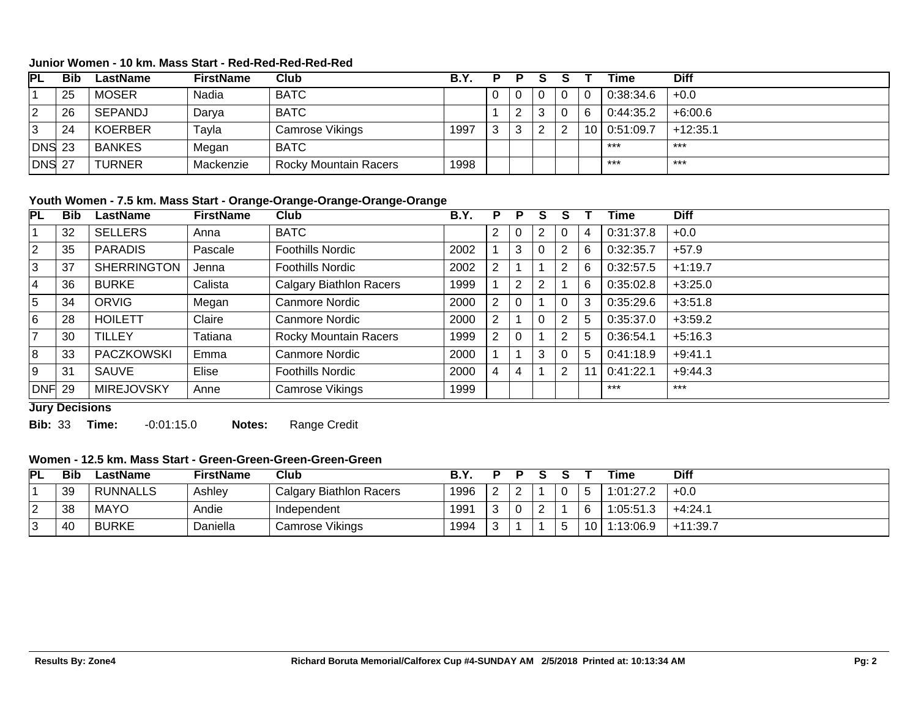### **Junior Women - 10 km. Mass Start - Red-Red-Red-Red-Red**

| <b>PL</b>     | <b>Bib</b> | LastName       | <b>FirstName</b> | Club                         | B.Y. | p |  |                 | Time      | <b>Diff</b> |
|---------------|------------|----------------|------------------|------------------------------|------|---|--|-----------------|-----------|-------------|
|               | 25         | <b>MOSER</b>   | Nadia            | <b>BATC</b>                  |      |   |  |                 | 0:38:34.6 | $+0.0$      |
| 2             | 26         | SEPANDJ        | Darva            | <b>BATC</b>                  |      |   |  |                 | 0:44:35.2 | $+6:00.6$   |
| 3             | 24         | <b>KOERBER</b> | Γayla            | Camrose Vikings              | 1997 |   |  | 10 <sup>1</sup> | 0:51:09.7 | $+12:35.1$  |
| <b>DNS</b> 23 |            | <b>BANKES</b>  | Megan            | <b>BATC</b>                  |      |   |  |                 | ***       | ***         |
| DNS 27        |            | <b>TURNER</b>  | Mackenzie        | <b>Rocky Mountain Racers</b> | 1998 |   |  |                 | ***       | $***$       |

#### **Youth Women - 7.5 km. Mass Start - Orange-Orange-Orange-Orange-Orange**

| PL             | <b>Bib</b> | LastName           | <b>FirstName</b> | Club                           | B.Y. | P | P |   |   |   | Time      | <b>Diff</b> |
|----------------|------------|--------------------|------------------|--------------------------------|------|---|---|---|---|---|-----------|-------------|
|                | 32         | <b>SELLERS</b>     | Anna             | <b>BATC</b>                    |      |   |   |   |   |   | 0:31:37.8 | $+0.0$      |
| $ 2\rangle$    | 35         | <b>PARADIS</b>     | Pascale          | <b>Foothills Nordic</b>        | 2002 |   | 3 |   | 2 | 6 | 0:32:35.7 | $+57.9$     |
| 3              | 37         | <b>SHERRINGTON</b> | Jenna            | <b>Foothills Nordic</b>        | 2002 |   |   |   | 2 | 6 | 0:32:57.5 | $+1:19.7$   |
| 4              | 36         | <b>BURKE</b>       | Calista          | <b>Calgary Biathlon Racers</b> | 1999 |   | 2 |   |   | 6 | 0:35:02.8 | $+3:25.0$   |
| ا 5            | 34         | <b>ORVIG</b>       | Megan            | <b>Canmore Nordic</b>          | 2000 |   |   |   |   | 3 | 0:35:29.6 | $+3:51.8$   |
| 6              | 28         | <b>HOILETT</b>     | Claire           | <b>Canmore Nordic</b>          | 2000 |   |   |   | 2 | 5 | 0:35:37.0 | $+3:59.2$   |
| $\overline{7}$ | 30         | <b>TILLEY</b>      | <b>Tatiana</b>   | Rocky Mountain Racers          | 1999 |   |   |   | 2 | 5 | 0:36:54.1 | $+5:16.3$   |
| 8              | 33         | <b>PACZKOWSKI</b>  | Emma             | Canmore Nordic                 | 2000 |   |   | 3 |   | 5 | 0:41:18.9 | $+9:41.1$   |
| l 9            | 31         | <b>SAUVE</b>       | Elise            | <b>Foothills Nordic</b>        | 2000 |   | 4 |   | 2 |   | 0:41:22.1 | $+9:44.3$   |
| DNF 29         |            | <b>MIREJOVSKY</b>  | Anne             | Camrose Vikings                | 1999 |   |   |   |   |   | $***$     | $***$       |
|                |            |                    |                  |                                |      |   |   |   |   |   |           |             |

**Jury Decisions**

**Bib:** 33 **Time:** -0:01:15.0 **Notes:** Range Credit

#### **Women - 12.5 km. Mass Start - Green-Green-Green-Green-Green**

| <b>PL</b>   | <b>Bib</b> | LastName        | <b>FirstName</b> | Club                    |      |  |  |                 | Time      | <b>Diff</b> |
|-------------|------------|-----------------|------------------|-------------------------|------|--|--|-----------------|-----------|-------------|
|             | 39         | <b>RUNNALLS</b> | Ashley           | Calgary Biathlon Racers | 1996 |  |  |                 | 1:01:27.2 | $+0.0$      |
| $\sim$<br>_ | 38         | <b>MAYO</b>     | Andie            | Independent             | 1991 |  |  | $\sqrt{ }$      | 1:05:51.3 | $+4:24.1$   |
|             | 40         | <b>BURKE</b>    | Daniella         | Camrose Vikings         | 1994 |  |  | 10 <sup>1</sup> | 1:13:06.9 | $+11:39.7$  |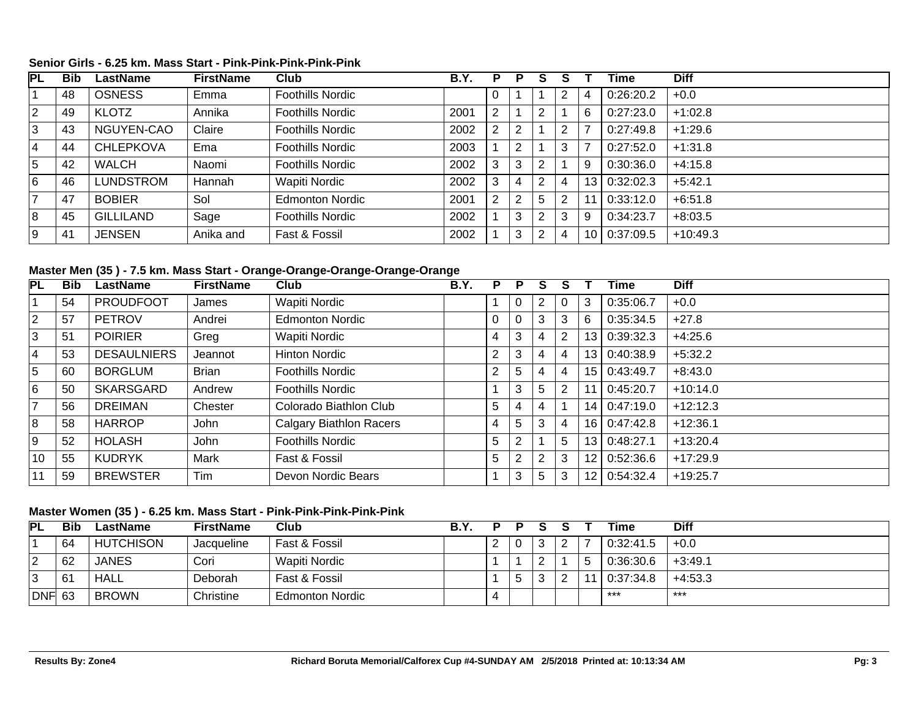#### **Senior Girls - 6.25 km. Mass Start - Pink-Pink-Pink-Pink-Pink**

| $\overline{\mathsf{PL}}$ | <b>Bib</b> | LastName         | <b>FirstName</b> | Club                    | <b>B.Y.</b> | Р | P      |   |   |                 | Time      | <b>Diff</b> |
|--------------------------|------------|------------------|------------------|-------------------------|-------------|---|--------|---|---|-----------------|-----------|-------------|
|                          | 48         | <b>OSNESS</b>    | Emma             | <b>Foothills Nordic</b> |             |   |        |   |   | 4               | 0:26:20.2 | $+0.0$      |
| $ 2\rangle$              | 49         | <b>KLOTZ</b>     | Annika           | <b>Foothills Nordic</b> | 2001        | ⌒ |        | ົ |   | 6               | 0:27:23.0 | $+1:02.8$   |
| 3                        | 43         | NGUYEN-CAO       | Claire           | <b>Foothills Nordic</b> | 2002        |   |        |   |   |                 | 0:27:49.8 | $+1:29.6$   |
| 4                        | 44         | <b>CHLEPKOVA</b> | Ema              | <b>Foothills Nordic</b> | 2003        |   | ົ      |   |   |                 | 0:27:52.0 | $+1:31.8$   |
| $\overline{5}$           | 42         | <b>WALCH</b>     | Naomi            | <b>Foothills Nordic</b> | 2002        |   | ີ<br>Ő |   |   | 9               | 0:30:36.0 | $+4:15.8$   |
| 6                        | 46         | LUNDSTROM        | Hannah           | Wapiti Nordic           | 2002        |   | 4      |   | 4 | 13 <sub>1</sub> | 0:32:02.3 | $+5:42.1$   |
| $\overline{7}$           | 47         | <b>BOBIER</b>    | Sol              | <b>Edmonton Nordic</b>  | 2001        | ົ | ◠      |   |   |                 | 0:33:12.0 | $+6:51.8$   |
| 8                        | 45         | <b>GILLILAND</b> | Sage             | <b>Foothills Nordic</b> | 2002        |   | 3      | ົ |   | 9               | 0:34:23.7 | $+8:03.5$   |
| 9                        | 41         | <b>JENSEN</b>    | Anika and        | Fast & Fossil           | 2002        |   | 3      |   | 4 | 10 <sup>1</sup> | 0:37:09.5 | $+10:49.3$  |

### **Master Men (35 ) - 7.5 km. Mass Start - Orange-Orange-Orange-Orange-Orange**

| PL             | <b>Bib</b> | LastName           | <b>FirstName</b> | Club                           | B.Y. | P        | P |   |                |                 | Time      | <b>Diff</b> |
|----------------|------------|--------------------|------------------|--------------------------------|------|----------|---|---|----------------|-----------------|-----------|-------------|
|                | 54         | <b>PROUDFOOT</b>   | James            | Wapiti Nordic                  |      |          | 0 | 2 | 0              | 3               | 0:35:06.7 | $+0.0$      |
| $\overline{2}$ | 57         | <b>PETROV</b>      | Andrei           | <b>Edmonton Nordic</b>         |      | $\Omega$ |   | 3 | 3              | 6               | 0:35:34.5 | $+27.8$     |
| 3              | 51         | <b>POIRIER</b>     | Greg             | Wapiti Nordic                  |      | 4        | 3 | 4 | $\overline{2}$ | 13 <sub>l</sub> | 0:39:32.3 | $+4:25.6$   |
| $\overline{4}$ | 53         | <b>DESAULNIERS</b> | Jeannot          | <b>Hinton Nordic</b>           |      | 2        | 3 | 4 | 4              | 13 <sup>1</sup> | 0:40:38.9 | $+5:32.2$   |
| 5              | 60         | <b>BORGLUM</b>     | <b>Brian</b>     | <b>Foothills Nordic</b>        |      | 2        | 5 | 4 | 4              | 15 <sub>1</sub> | 0:43:49.7 | $+8:43.0$   |
| 6              | 50         | <b>SKARSGARD</b>   | Andrew           | <b>Foothills Nordic</b>        |      |          | 3 | 5 | 2              |                 | 0:45:20.7 | $+10:14.0$  |
| $\overline{7}$ | 56         | <b>DREIMAN</b>     | Chester          | Colorado Biathlon Club         |      | 5        | 4 |   |                | 14 <sub>1</sub> | 0:47:19.0 | $+12:12.3$  |
| 8              | 58         | <b>HARROP</b>      | John             | <b>Calgary Biathlon Racers</b> |      | 4        | 5 | 3 | 4              | 16 <sup>1</sup> | 0:47:42.8 | $+12:36.1$  |
| $9\,$          | 52         | <b>HOLASH</b>      | John             | <b>Foothills Nordic</b>        |      | 5        | 2 |   | 5              | 13 <sup>1</sup> | 0:48:27.1 | $+13:20.4$  |
| 10             | 55         | <b>KUDRYK</b>      | Mark             | Fast & Fossil                  |      | 5        | 2 | 2 | 3              | 12 <sub>1</sub> | 0:52:36.6 | $+17:29.9$  |
| 11             | 59         | <b>BREWSTER</b>    | Tim              | Devon Nordic Bears             |      |          | 3 | 5 | 3              | 12 <sub>1</sub> | 0:54:32.4 | $+19:25.7$  |

### **Master Women (35 ) - 6.25 km. Mass Start - Pink-Pink-Pink-Pink-Pink**

| PL     | <b>Bib</b> | LastName         | <b>FirstName</b> | Club                   | B.Y. | D | Ð |  | Time      | <b>Diff</b> |
|--------|------------|------------------|------------------|------------------------|------|---|---|--|-----------|-------------|
|        | -64        | <b>HUTCHISON</b> | Jacqueline       | Fast & Fossil          |      |   |   |  | 0:32:41.5 | $+0.0$      |
|        | 62         | JANES            | Cori             | Wapiti Nordic          |      |   |   |  | 0:36:30.6 | $+3:49.1$   |
|        | 61         | HALL             | Deborah          | Fast & Fossil          |      |   |   |  | 0:37:34.8 | $+4:53.3$   |
| DNF 63 |            | <b>BROWN</b>     | Christine        | <b>Edmonton Nordic</b> |      |   |   |  | ***       | ***         |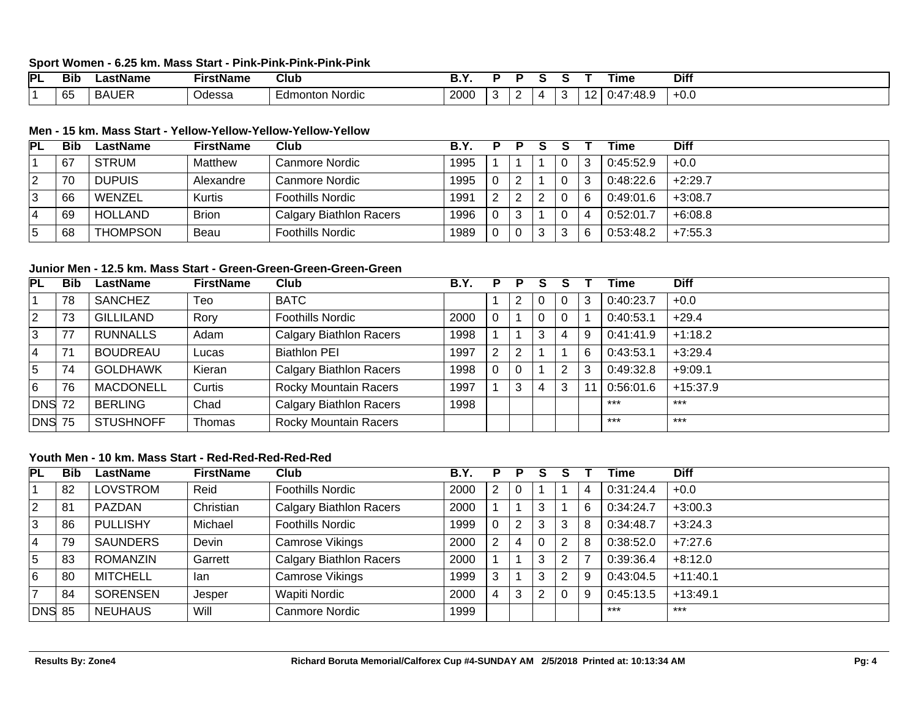#### **Sport Women - 6.25 km. Mass Start - Pink-Pink-Pink-Pink-Pink**

| PL | Bib                       | vame | $\mathsf{rir}$<br>Name | Club       |                  |  |  | ⊺ıme       | <b>Diff</b> |
|----|---------------------------|------|------------------------|------------|------------------|--|--|------------|-------------|
|    | $\sim$<br><b>100</b><br>ັ | КΔ   | Odessa                 | Nordic<br> | 200 <sub>C</sub> |  |  | . .<br>. . | +∪.∪        |

#### **Men - 15 km. Mass Start - Yellow-Yellow-Yellow-Yellow-Yellow**

| <b>PL</b> | Bib | LastName        | <b>FirstName</b> | Club                           | B.Y  | D. | P |  | Time      | <b>Diff</b> |
|-----------|-----|-----------------|------------------|--------------------------------|------|----|---|--|-----------|-------------|
|           | 67  | <b>STRUM</b>    | Matthew          | Canmore Nordic                 | 1995 |    |   |  | 0:45:52.9 | $+0.0$      |
| ົ         | 70  | <b>DUPUIS</b>   | Alexandre        | Canmore Nordic                 | 1995 |    |   |  | 0:48:22.6 | $+2:29.7$   |
| 3         | 66  | WENZEL          | <b>Kurtis</b>    | <b>Foothills Nordic</b>        | 1991 |    |   |  | 0:49:01.6 | $+3:08.7$   |
|           | 69  | <b>HOLLAND</b>  | <b>Brion</b>     | <b>Calgary Biathlon Racers</b> | 1996 |    |   |  | 0:52:01.7 | $+6:08.8$   |
| 5         | 68  | <b>THOMPSON</b> | Beau             | <b>Foothills Nordic</b>        | 1989 |    |   |  | 0:53:48.2 | $+7:55.3$   |

#### **Junior Men - 12.5 km. Mass Start - Green-Green-Green-Green-Green**

| PL            | <b>Bib</b> | LastName         | <b>FirstName</b> | Club                           | B.Y. | P | Р |   |   |    | Time      | <b>Diff</b> |
|---------------|------------|------------------|------------------|--------------------------------|------|---|---|---|---|----|-----------|-------------|
|               | 78         | <b>SANCHEZ</b>   | Teo              | <b>BATC</b>                    |      |   |   |   |   | 3  | 0:40:23.7 | $+0.0$      |
| 2             | 73         | <b>GILLILAND</b> | Rory             | <b>Foothills Nordic</b>        | 2000 |   |   |   |   |    | 0:40:53.1 | $+29.4$     |
| 3             | 77         | <b>RUNNALLS</b>  | Adam             | <b>Calgary Biathlon Racers</b> | 1998 |   |   | 3 |   | 9  | 0:41:41.9 | $+1:18.2$   |
| 4             | 71         | <b>BOUDREAU</b>  | Lucas            | <b>Biathlon PEI</b>            | 1997 |   |   |   |   | -6 | 0:43:53.1 | $+3:29.4$   |
| 5             | 74         | <b>GOLDHAWK</b>  | Kieran           | <b>Calgary Biathlon Racers</b> | 1998 |   |   |   |   |    | 0:49:32.8 | $+9:09.1$   |
| 6             | 76         | <b>MACDONELL</b> | Curtis           | <b>Rocky Mountain Racers</b>   | 1997 |   | 3 |   | 3 |    | 0:56:01.6 | $+15:37.9$  |
| <b>DNS 72</b> |            | <b>BERLING</b>   | Chad             | <b>Calgary Biathlon Racers</b> | 1998 |   |   |   |   |    | ***       | $***$       |
| DNS 75        |            | <b>STUSHNOFF</b> | Thomas           | <b>Rocky Mountain Racers</b>   |      |   |   |   |   |    | $***$     | ***         |

#### **Youth Men - 10 km. Mass Start - Red-Red-Red-Red-Red**

| PL             | <b>Bib</b> | LastName        | <b>FirstName</b> | Club                           | <b>B.Y.</b> | P | P | S        |   |   | <b>Fime</b> | <b>Diff</b> |
|----------------|------------|-----------------|------------------|--------------------------------|-------------|---|---|----------|---|---|-------------|-------------|
|                | 82         | <b>LOVSTROM</b> | Reid             | <b>Foothills Nordic</b>        | 2000        | 2 |   |          |   | 4 | 0:31:24.4   | $+0.0$      |
| $\overline{2}$ | 81         | PAZDAN          | Christian        | <b>Calgary Biathlon Racers</b> | 2000        |   |   | 3        |   | 6 | 0:34:24.7   | $+3:00.3$   |
| 3              | 86         | <b>PULLISHY</b> | Michael          | <b>Foothills Nordic</b>        | 1999        |   | 2 | 3        | 3 | 8 | 0:34:48.7   | $+3:24.3$   |
| $\overline{4}$ | 79         | <b>SAUNDERS</b> | Devin            | <b>Camrose Vikings</b>         | 2000        | 2 | 4 | $\Omega$ | 2 | 8 | 0:38:52.0   | $+7:27.6$   |
| 5              | 83         | <b>ROMANZIN</b> | Garrett          | <b>Calgary Biathlon Racers</b> | 2000        |   |   | 3        | っ |   | 0:39:36.4   | $+8:12.0$   |
| 6              | 80         | <b>MITCHELL</b> | lan              | <b>Camrose Vikings</b>         | 1999        | 3 |   | 3        | ົ | 9 | 0:43:04.5   | $+11:40.1$  |
|                | 84         | <b>SORENSEN</b> | Jesper           | <b>Wapiti Nordic</b>           | 2000        |   | 3 | 2        |   | 9 | 0:45:13.5   | $+13:49.1$  |
| <b>DNS</b>     | -85        | <b>NEUHAUS</b>  | Will             | <b>Canmore Nordic</b>          | 1999        |   |   |          |   |   | ***         | $***$       |